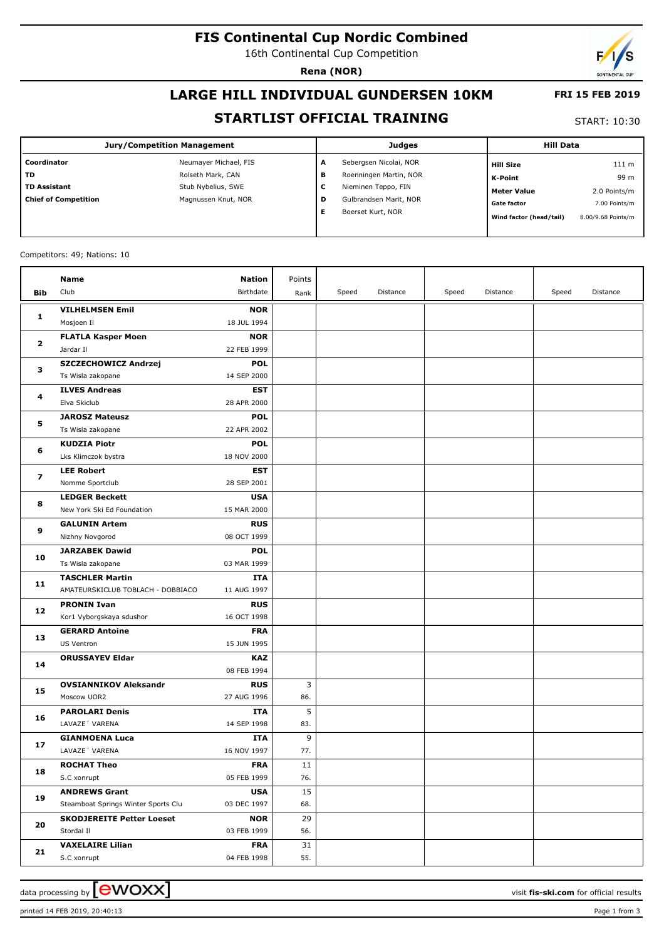## **FIS Continental Cup Nordic Combined**

16th Continental Cup Competition

**Rena (NOR)**

# **LARGE HILL INDIVIDUAL GUNDERSEN 10KM**

#### **STARTLIST OFFICIAL TRAINING**

START: 10:30

 **FRI 15 FEB 2019**

| Coordinator<br>Sebergsen Nicolai, NOR<br>Neumayer Michael, FIS<br>А<br>111 m<br><b>Hill Size</b>                         |
|--------------------------------------------------------------------------------------------------------------------------|
|                                                                                                                          |
| l TD<br>Rolseth Mark, CAN<br>Roenningen Martin, NOR<br>в<br>99 m<br><b>K-Point</b>                                       |
| TD Assistant<br>Stub Nybelius, SWE<br>Nieminen Teppo, FIN<br>с<br>2.0 Points/m<br><b>Meter Value</b>                     |
| <b>Chief of Competition</b><br>Gulbrandsen Marit, NOR<br>Magnussen Knut, NOR<br>D<br><b>Gate factor</b><br>7.00 Points/m |
| Boerset Kurt, NOR<br>Е<br>Wind factor (head/tail)<br>8.00/9.68 Points/m                                                  |

Competitors: 49; Nations: 10

|                                   | Name                                       | Nation                    | Points |       |          |       |          |       |          |
|-----------------------------------|--------------------------------------------|---------------------------|--------|-------|----------|-------|----------|-------|----------|
| Bib                               | Club                                       | Birthdate                 | Rank   | Speed | Distance | Speed | Distance | Speed | Distance |
|                                   |                                            |                           |        |       |          |       |          |       |          |
| 1                                 | <b>VILHELMSEN Emil</b>                     | <b>NOR</b>                |        |       |          |       |          |       |          |
|                                   | Mosjoen Il                                 | 18 JUL 1994               |        |       |          |       |          |       |          |
| $\overline{\mathbf{2}}$<br>з<br>4 | <b>FLATLA Kasper Moen</b><br>Jardar II     | <b>NOR</b><br>22 FEB 1999 |        |       |          |       |          |       |          |
|                                   |                                            |                           |        |       |          |       |          |       |          |
|                                   | SZCZECHOWICZ Andrzej                       | <b>POL</b><br>14 SEP 2000 |        |       |          |       |          |       |          |
|                                   | Ts Wisla zakopane<br><b>ILVES Andreas</b>  | <b>EST</b>                |        |       |          |       |          |       |          |
|                                   | Elva Skiclub                               | 28 APR 2000               |        |       |          |       |          |       |          |
| 5<br>6                            |                                            | <b>POL</b>                |        |       |          |       |          |       |          |
|                                   | <b>JAROSZ Mateusz</b><br>Ts Wisla zakopane | 22 APR 2002               |        |       |          |       |          |       |          |
|                                   | <b>KUDZIA Piotr</b>                        | <b>POL</b>                |        |       |          |       |          |       |          |
|                                   | Lks Klimczok bystra                        | 18 NOV 2000               |        |       |          |       |          |       |          |
|                                   |                                            | <b>EST</b>                |        |       |          |       |          |       |          |
| $\overline{\mathbf{z}}$           | <b>LEE Robert</b>                          | 28 SEP 2001               |        |       |          |       |          |       |          |
|                                   | Nomme Sportclub                            |                           |        |       |          |       |          |       |          |
| 8                                 | <b>LEDGER Beckett</b>                      | <b>USA</b>                |        |       |          |       |          |       |          |
|                                   | New York Ski Ed Foundation                 | 15 MAR 2000               |        |       |          |       |          |       |          |
| 9                                 | <b>GALUNIN Artem</b>                       | <b>RUS</b>                |        |       |          |       |          |       |          |
| 10<br>11                          | Nizhny Novgorod                            | 08 OCT 1999               |        |       |          |       |          |       |          |
|                                   | <b>JARZABEK Dawid</b><br>Ts Wisla zakopane | <b>POL</b><br>03 MAR 1999 |        |       |          |       |          |       |          |
|                                   | <b>TASCHLER Martin</b>                     | ITA                       |        |       |          |       |          |       |          |
|                                   | AMATEURSKICLUB TOBLACH - DOBBIACO          | 11 AUG 1997               |        |       |          |       |          |       |          |
|                                   | <b>PRONIN Ivan</b>                         | <b>RUS</b>                |        |       |          |       |          |       |          |
| 12                                | Kor1 Vyborgskaya sdushor                   | 16 OCT 1998               |        |       |          |       |          |       |          |
| 13<br>14                          | <b>GERARD Antoine</b>                      | <b>FRA</b>                |        |       |          |       |          |       |          |
|                                   | US Ventron                                 | 15 JUN 1995               |        |       |          |       |          |       |          |
|                                   | <b>ORUSSAYEV Eldar</b>                     | <b>KAZ</b>                |        |       |          |       |          |       |          |
|                                   |                                            | 08 FEB 1994               |        |       |          |       |          |       |          |
|                                   | <b>OVSIANNIKOV Aleksandr</b>               | <b>RUS</b>                | 3      |       |          |       |          |       |          |
| 15                                | Moscow UOR2                                | 27 AUG 1996               | 86.    |       |          |       |          |       |          |
|                                   | <b>PAROLARI Denis</b>                      | ITA                       | 5      |       |          |       |          |       |          |
| 16                                | LAVAZE' VARENA                             | 14 SEP 1998               | 83.    |       |          |       |          |       |          |
|                                   | <b>GIANMOENA Luca</b>                      | ITA                       | 9      |       |          |       |          |       |          |
| 17                                | LAVAZE' VARENA                             | 16 NOV 1997               | 77.    |       |          |       |          |       |          |
|                                   | <b>ROCHAT Theo</b>                         | <b>FRA</b>                | 11     |       |          |       |          |       |          |
| 18                                | S.C xonrupt                                | 05 FEB 1999               | 76.    |       |          |       |          |       |          |
| 19                                | <b>ANDREWS Grant</b>                       | <b>USA</b>                | 15     |       |          |       |          |       |          |
|                                   | Steamboat Springs Winter Sports Clu        | 03 DEC 1997               | 68.    |       |          |       |          |       |          |
|                                   | <b>SKODJEREITE Petter Loeset</b>           | <b>NOR</b>                | 29     |       |          |       |          |       |          |
| 20                                | Stordal II                                 | 03 FEB 1999               | 56.    |       |          |       |          |       |          |
|                                   | <b>VAXELAIRE Lilian</b>                    | <b>FRA</b>                | 31     |       |          |       |          |       |          |
| 21                                | S.C xonrupt                                | 04 FEB 1998               | 55.    |       |          |       |          |       |          |
|                                   |                                            |                           |        |       |          |       |          |       |          |

printed 14 FEB 2019, 20:40:13 Page 1 from 3

data processing by **CWOXX**  $\blacksquare$ 

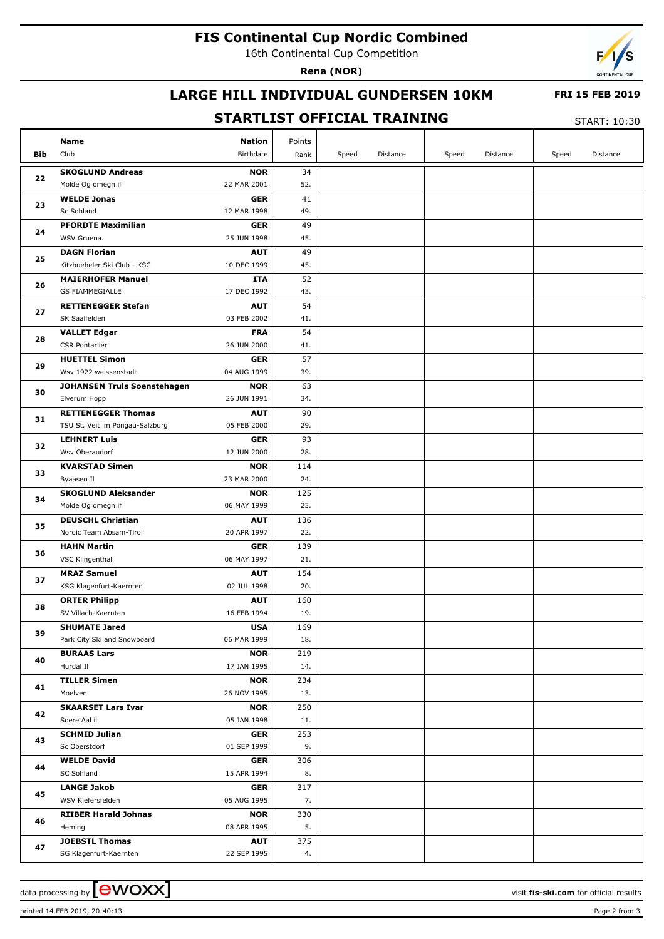## **FIS Continental Cup Nordic Combined**

16th Continental Cup Competition

**Rena (NOR)**



### **LARGE HILL INDIVIDUAL GUNDERSEN 10KM**

#### **FRI 15 FEB 2019**

#### **STARTLIST OFFICIAL TRAINING**

START: 10:30

|                | Name                                                         | <b>Nation</b>             | Points     |       |          |       |          |       |          |
|----------------|--------------------------------------------------------------|---------------------------|------------|-------|----------|-------|----------|-------|----------|
| Bib            | Club                                                         | Birthdate                 | Rank       | Speed | Distance | Speed | Distance | Speed | Distance |
|                | <b>SKOGLUND Andreas</b>                                      | <b>NOR</b>                | 34         |       |          |       |          |       |          |
| 22             | Molde Og omegn if                                            | 22 MAR 2001               | 52.        |       |          |       |          |       |          |
|                | <b>WELDE Jonas</b>                                           | <b>GER</b>                | 41         |       |          |       |          |       |          |
| 23             | Sc Sohland                                                   | 12 MAR 1998               | 49.        |       |          |       |          |       |          |
|                | <b>PFORDTE Maximilian</b>                                    | <b>GER</b>                | 49         |       |          |       |          |       |          |
| 24             | WSV Gruena.                                                  | 25 JUN 1998               | 45.        |       |          |       |          |       |          |
| 25             | <b>DAGN Florian</b>                                          | <b>AUT</b>                | 49         |       |          |       |          |       |          |
|                | Kitzbueheler Ski Club - KSC                                  | 10 DEC 1999               | 45.        |       |          |       |          |       |          |
| 26             | <b>MAIERHOFER Manuel</b>                                     | ITA                       | 52         |       |          |       |          |       |          |
|                | <b>GS FIAMMEGIALLE</b>                                       | 17 DEC 1992               | 43.        |       |          |       |          |       |          |
| 27             | <b>RETTENEGGER Stefan</b>                                    | <b>AUT</b>                | 54         |       |          |       |          |       |          |
|                | SK Saalfelden                                                | 03 FEB 2002               | 41.        |       |          |       |          |       |          |
| 28             | <b>VALLET Edgar</b>                                          | <b>FRA</b>                | 54         |       |          |       |          |       |          |
|                | <b>CSR Pontarlier</b>                                        | 26 JUN 2000               | 41.        |       |          |       |          |       |          |
| 29             | <b>HUETTEL Simon</b>                                         | <b>GER</b>                | 57         |       |          |       |          |       |          |
|                | Wsv 1922 weissenstadt                                        | 04 AUG 1999               | 39.        |       |          |       |          |       |          |
| 30             | <b>JOHANSEN Truls Soenstehagen</b>                           | <b>NOR</b>                | 63         |       |          |       |          |       |          |
|                | Elverum Hopp                                                 | 26 JUN 1991               | 34.        |       |          |       |          |       |          |
| 31             | <b>RETTENEGGER Thomas</b><br>TSU St. Veit im Pongau-Salzburg | <b>AUT</b><br>05 FEB 2000 | 90<br>29.  |       |          |       |          |       |          |
|                | <b>LEHNERT Luis</b>                                          | <b>GER</b>                | 93         |       |          |       |          |       |          |
| 32             | Wsv Oberaudorf                                               | 12 JUN 2000               | 28.        |       |          |       |          |       |          |
|                | <b>KVARSTAD Simen</b>                                        | <b>NOR</b>                | 114        |       |          |       |          |       |          |
| 33             | Byaasen Il                                                   | 23 MAR 2000               | 24.        |       |          |       |          |       |          |
| 34             | <b>SKOGLUND Aleksander</b>                                   | <b>NOR</b>                | 125        |       |          |       |          |       |          |
|                | Molde Og omegn if                                            | 06 MAY 1999               | 23.        |       |          |       |          |       |          |
| 35<br>36       | <b>DEUSCHL Christian</b>                                     | <b>AUT</b>                | 136        |       |          |       |          |       |          |
|                | Nordic Team Absam-Tirol                                      | 20 APR 1997               | 22.        |       |          |       |          |       |          |
|                | <b>HAHN Martin</b>                                           | <b>GER</b>                | 139        |       |          |       |          |       |          |
|                | VSC Klingenthal                                              | 06 MAY 1997               | 21.        |       |          |       |          |       |          |
| 37             | <b>MRAZ Samuel</b>                                           | <b>AUT</b>                | 154        |       |          |       |          |       |          |
|                | KSG Klagenfurt-Kaernten                                      | 02 JUL 1998               | 20.        |       |          |       |          |       |          |
| 38             | <b>ORTER Philipp</b>                                         | <b>AUT</b>                | 160        |       |          |       |          |       |          |
|                | SV Villach-Kaernten                                          | 16 FEB 1994               | 19.        |       |          |       |          |       |          |
| 39             | <b>SHUMATE Jared</b>                                         | <b>USA</b>                | 169        |       |          |       |          |       |          |
|                | Park City Ski and Snowboard                                  | 06 MAR 1999               | 18.        |       |          |       |          |       |          |
| 40             | <b>BURAAS Lars</b>                                           | <b>NOR</b>                | 219        |       |          |       |          |       |          |
|                | Hurdal II                                                    | 17 JAN 1995               | 14.        |       |          |       |          |       |          |
| 41             | <b>TILLER Simen</b>                                          | <b>NOR</b>                | 234        |       |          |       |          |       |          |
|                | Moelven                                                      | 26 NOV 1995               | 13.        |       |          |       |          |       |          |
| 42<br>43<br>44 | <b>SKAARSET Lars Ivar</b><br>Soere Aal il                    | <b>NOR</b><br>05 JAN 1998 | 250<br>11. |       |          |       |          |       |          |
|                | <b>SCHMID Julian</b>                                         | <b>GER</b>                | 253        |       |          |       |          |       |          |
|                | Sc Oberstdorf                                                | 01 SEP 1999               | 9.         |       |          |       |          |       |          |
|                | <b>WELDE David</b>                                           | <b>GER</b>                | 306        |       |          |       |          |       |          |
|                | SC Sohland                                                   | 15 APR 1994               | 8.         |       |          |       |          |       |          |
|                | <b>LANGE Jakob</b>                                           | <b>GER</b>                | 317        |       |          |       |          |       |          |
| 45             | WSV Kiefersfelden                                            | 05 AUG 1995               | 7.         |       |          |       |          |       |          |
|                | <b>RIIBER Harald Johnas</b>                                  | <b>NOR</b>                | 330        |       |          |       |          |       |          |
| 46             | Heming                                                       | 08 APR 1995               | 5.         |       |          |       |          |       |          |
|                | <b>JOEBSTL Thomas</b>                                        | <b>AUT</b>                | 375        |       |          |       |          |       |          |
| 47             | SG Klagenfurt-Kaernten                                       | 22 SEP 1995               | 4.         |       |          |       |          |       |          |

data processing by **CWOXX** and  $\overline{A}$  wisit **fis-ski.com** for official results